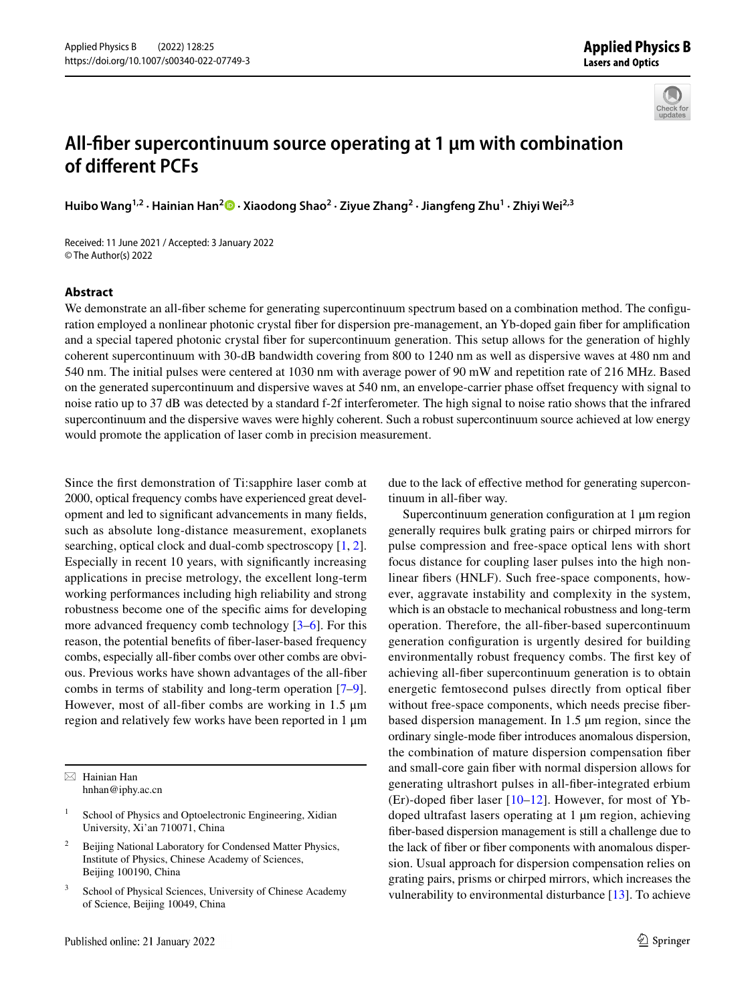

## **All‑fber supercontinuum source operating at 1 μm with combination of diferent PCFs**

**Huibo Wang1,2 · Hainian Han2 · Xiaodong Shao<sup>2</sup> · Ziyue Zhang2 · Jiangfeng Zhu1 · Zhiyi Wei2,3**

Received: 11 June 2021 / Accepted: 3 January 2022 © The Author(s) 2022

## **Abstract**

We demonstrate an all-fiber scheme for generating supercontinuum spectrum based on a combination method. The configuration employed a nonlinear photonic crystal fber for dispersion pre-management, an Yb-doped gain fber for amplifcation and a special tapered photonic crystal fber for supercontinuum generation. This setup allows for the generation of highly coherent supercontinuum with 30-dB bandwidth covering from 800 to 1240 nm as well as dispersive waves at 480 nm and 540 nm. The initial pulses were centered at 1030 nm with average power of 90 mW and repetition rate of 216 MHz. Based on the generated supercontinuum and dispersive waves at 540 nm, an envelope-carrier phase ofset frequency with signal to noise ratio up to 37 dB was detected by a standard f-2f interferometer. The high signal to noise ratio shows that the infrared supercontinuum and the dispersive waves were highly coherent. Such a robust supercontinuum source achieved at low energy would promote the application of laser comb in precision measurement.

Since the frst demonstration of Ti:sapphire laser comb at 2000, optical frequency combs have experienced great development and led to signifcant advancements in many felds, such as absolute long-distance measurement, exoplanets searching, optical clock and dual-comb spectroscopy [\[1](#page-4-0), [2](#page-4-1)]. Especially in recent 10 years, with signifcantly increasing applications in precise metrology, the excellent long-term working performances including high reliability and strong robustness become one of the specifc aims for developing more advanced frequency comb technology [[3](#page-4-2)[–6](#page-4-3)]. For this reason, the potential benefts of fber-laser-based frequency combs, especially all-fber combs over other combs are obvious. Previous works have shown advantages of the all-fber combs in terms of stability and long-term operation [\[7](#page-4-4)[–9](#page-4-5)]. However, most of all-fber combs are working in 1.5 μm region and relatively few works have been reported in 1 μm

 $\boxtimes$  Hainian Han hnhan@iphy.ac.cn

<sup>3</sup> School of Physical Sciences, University of Chinese Academy of Science, Beijing 10049, China

due to the lack of efective method for generating supercontinuum in all-fber way.

Supercontinuum generation confguration at 1 μm region generally requires bulk grating pairs or chirped mirrors for pulse compression and free-space optical lens with short focus distance for coupling laser pulses into the high nonlinear fbers (HNLF). Such free-space components, however, aggravate instability and complexity in the system, which is an obstacle to mechanical robustness and long-term operation. Therefore, the all-fber-based supercontinuum generation confguration is urgently desired for building environmentally robust frequency combs. The frst key of achieving all-fber supercontinuum generation is to obtain energetic femtosecond pulses directly from optical fber without free-space components, which needs precise fberbased dispersion management. In 1.5 µm region, since the ordinary single-mode fber introduces anomalous dispersion, the combination of mature dispersion compensation fber and small-core gain fber with normal dispersion allows for generating ultrashort pulses in all-fber-integrated erbium (Er)-doped fber laser [\[10–](#page-4-6)[12\]](#page-4-7). However, for most of Ybdoped ultrafast lasers operating at 1 µm region, achieving fber-based dispersion management is still a challenge due to the lack of fber or fber components with anomalous dispersion. Usual approach for dispersion compensation relies on grating pairs, prisms or chirped mirrors, which increases the vulnerability to environmental disturbance [[13\]](#page-5-0). To achieve

School of Physics and Optoelectronic Engineering, Xidian University, Xi'an 710071, China

<sup>&</sup>lt;sup>2</sup> Beijing National Laboratory for Condensed Matter Physics, Institute of Physics, Chinese Academy of Sciences, Beijing 100190, China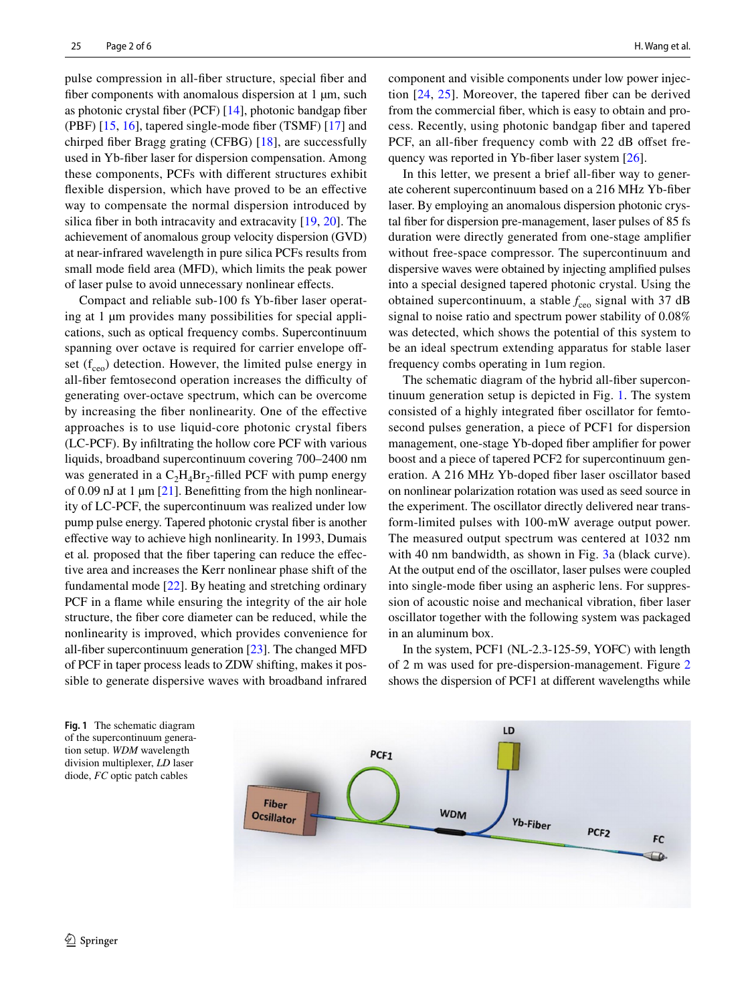pulse compression in all-fber structure, special fber and fiber components with anomalous dispersion at 1 µm, such as photonic crystal fber (PCF) [\[14](#page-5-1)], photonic bandgap fber (PBF) [\[15,](#page-5-2) [16\]](#page-5-3), tapered single-mode fber (TSMF) [[17\]](#page-5-4) and chirped fber Bragg grating (CFBG) [\[18](#page-5-5)], are successfully used in Yb-fber laser for dispersion compensation. Among these components, PCFs with diferent structures exhibit fexible dispersion, which have proved to be an efective way to compensate the normal dispersion introduced by silica fiber in both intracavity and extracavity [[19,](#page-5-6) [20](#page-5-7)]. The achievement of anomalous group velocity dispersion (GVD) at near-infrared wavelength in pure silica PCFs results from small mode feld area (MFD), which limits the peak power of laser pulse to avoid unnecessary nonlinear efects.

Compact and reliable sub-100 fs Yb-fber laser operating at 1 µm provides many possibilities for special applications, such as optical frequency combs. Supercontinuum spanning over octave is required for carrier envelope offset  $(f_{ceo})$  detection. However, the limited pulse energy in all-fiber femtosecond operation increases the difficulty of generating over-octave spectrum, which can be overcome by increasing the fber nonlinearity. One of the efective approaches is to use liquid-core photonic crystal fibers (LC-PCF). By infltrating the hollow core PCF with various liquids, broadband supercontinuum covering 700–2400 nm was generated in a  $C_2H_4Br_2$ -filled PCF with pump energy of 0.09 nJ at 1  $\mu$ m [\[21](#page-5-8)]. Benefitting from the high nonlinearity of LC-PCF, the supercontinuum was realized under low pump pulse energy. Tapered photonic crystal fber is another efective way to achieve high nonlinearity. In 1993, Dumais et al*.* proposed that the fber tapering can reduce the efective area and increases the Kerr nonlinear phase shift of the fundamental mode [[22\]](#page-5-9). By heating and stretching ordinary PCF in a flame while ensuring the integrity of the air hole structure, the fber core diameter can be reduced, while the nonlinearity is improved, which provides convenience for all-fber supercontinuum generation [\[23](#page-5-10)]. The changed MFD of PCF in taper process leads to ZDW shifting, makes it possible to generate dispersive waves with broadband infrared component and visible components under low power injection [[24](#page-5-11), [25\]](#page-5-12). Moreover, the tapered fber can be derived from the commercial fber, which is easy to obtain and process. Recently, using photonic bandgap fber and tapered PCF, an all-fiber frequency comb with 22 dB offset fre-quency was reported in Yb-fiber laser system [[26](#page-5-13)].

In this letter, we present a brief all-fber way to generate coherent supercontinuum based on a 216 MHz Yb-fber laser. By employing an anomalous dispersion photonic crystal fber for dispersion pre-management, laser pulses of 85 fs duration were directly generated from one-stage amplifer without free-space compressor. The supercontinuum and dispersive waves were obtained by injecting amplifed pulses into a special designed tapered photonic crystal. Using the obtained supercontinuum, a stable  $f_{ceo}$  signal with 37 dB signal to noise ratio and spectrum power stability of 0.08% was detected, which shows the potential of this system to be an ideal spectrum extending apparatus for stable laser frequency combs operating in 1um region.

The schematic diagram of the hybrid all-fber supercontinuum generation setup is depicted in Fig. [1.](#page-1-0) The system consisted of a highly integrated fber oscillator for femtosecond pulses generation, a piece of PCF1 for dispersion management, one-stage Yb-doped fber amplifer for power boost and a piece of tapered PCF2 for supercontinuum generation. A 216 MHz Yb-doped fber laser oscillator based on nonlinear polarization rotation was used as seed source in the experiment. The oscillator directly delivered near transform-limited pulses with 100-mW average output power. The measured output spectrum was centered at 1032 nm with 40 nm bandwidth, as shown in Fig. [3](#page-2-0)a (black curve). At the output end of the oscillator, laser pulses were coupled into single-mode fber using an aspheric lens. For suppression of acoustic noise and mechanical vibration, fber laser oscillator together with the following system was packaged in an aluminum box.

In the system, PCF1 (NL-2.3-125-59, YOFC) with length of 2 m was used for pre-dispersion-management. Figure [2](#page-2-1) shows the dispersion of PCF1 at diferent wavelengths while

<span id="page-1-0"></span>**Fig. 1** The schematic diagram of the supercontinuum generation setup. *WDM* wavelength division multiplexer, *LD* laser diode, *FC* optic patch cables

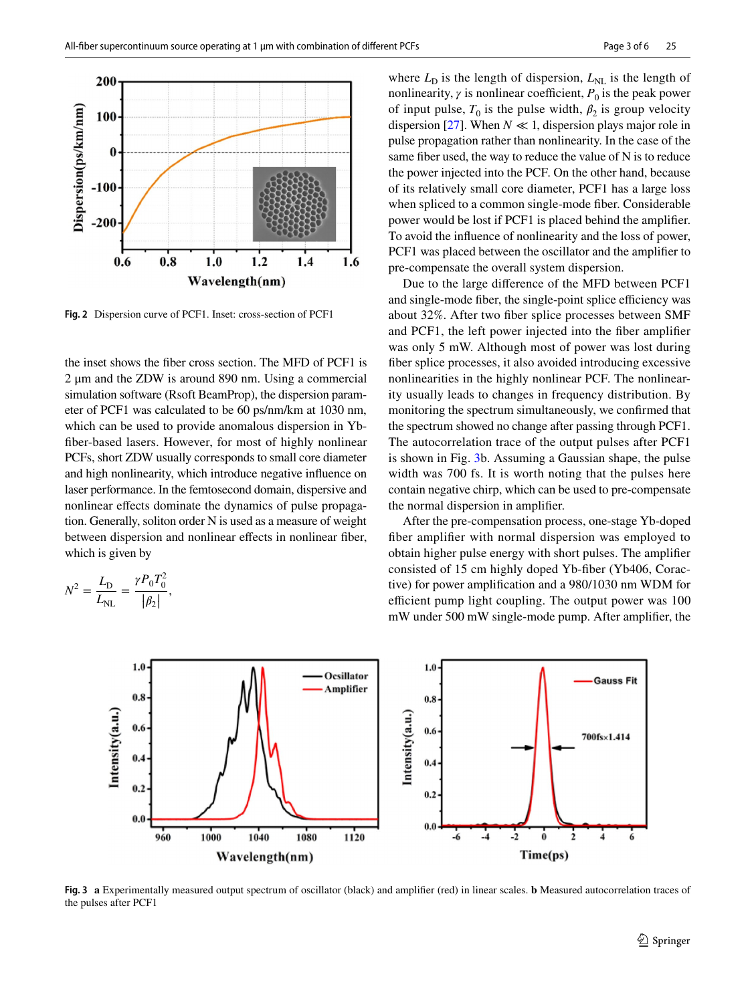

<span id="page-2-1"></span>**Fig. 2** Dispersion curve of PCF1. Inset: cross-section of PCF1

the inset shows the fber cross section. The MFD of PCF1 is 2 μm and the ZDW is around 890 nm. Using a commercial simulation software (Rsoft BeamProp), the dispersion parameter of PCF1 was calculated to be 60 ps/nm/km at 1030 nm, which can be used to provide anomalous dispersion in Ybfber-based lasers. However, for most of highly nonlinear PCFs, short ZDW usually corresponds to small core diameter and high nonlinearity, which introduce negative infuence on laser performance. In the femtosecond domain, dispersive and nonlinear efects dominate the dynamics of pulse propagation. Generally, soliton order N is used as a measure of weight between dispersion and nonlinear effects in nonlinear fiber, which is given by

$$
N^2 = \frac{L_{\rm D}}{L_{\rm NL}} = \frac{\gamma P_0 T_0^2}{|\beta_2|},
$$

where  $L<sub>D</sub>$  is the length of dispersion,  $L<sub>NL</sub>$  is the length of nonlinearity,  $\gamma$  is nonlinear coefficient,  $P_0$  is the peak power of input pulse,  $T_0$  is the pulse width,  $\beta_2$  is group velocity dispersion [\[27](#page-5-14)]. When  $N \ll 1$ , dispersion plays major role in pulse propagation rather than nonlinearity. In the case of the same fber used, the way to reduce the value of N is to reduce the power injected into the PCF. On the other hand, because of its relatively small core diameter, PCF1 has a large loss when spliced to a common single-mode fber. Considerable power would be lost if PCF1 is placed behind the amplifer. To avoid the infuence of nonlinearity and the loss of power, PCF1 was placed between the oscillator and the amplifer to pre-compensate the overall system dispersion.

Due to the large diference of the MFD between PCF1 and single-mode fiber, the single-point splice efficiency was about 32%. After two fber splice processes between SMF and PCF1, the left power injected into the fber amplifer was only 5 mW. Although most of power was lost during fber splice processes, it also avoided introducing excessive nonlinearities in the highly nonlinear PCF. The nonlinearity usually leads to changes in frequency distribution. By monitoring the spectrum simultaneously, we confrmed that the spectrum showed no change after passing through PCF1. The autocorrelation trace of the output pulses after PCF1 is shown in Fig. [3b](#page-2-0). Assuming a Gaussian shape, the pulse width was 700 fs. It is worth noting that the pulses here contain negative chirp, which can be used to pre-compensate the normal dispersion in amplifer.

After the pre-compensation process, one-stage Yb-doped fber amplifer with normal dispersion was employed to obtain higher pulse energy with short pulses. The amplifer consisted of 15 cm highly doped Yb-fber (Yb406, Coractive) for power amplifcation and a 980/1030 nm WDM for efficient pump light coupling. The output power was 100 mW under 500 mW single-mode pump. After amplifer, the



<span id="page-2-0"></span>**Fig. 3 a** Experimentally measured output spectrum of oscillator (black) and amplifer (red) in linear scales. **b** Measured autocorrelation traces of the pulses after PCF1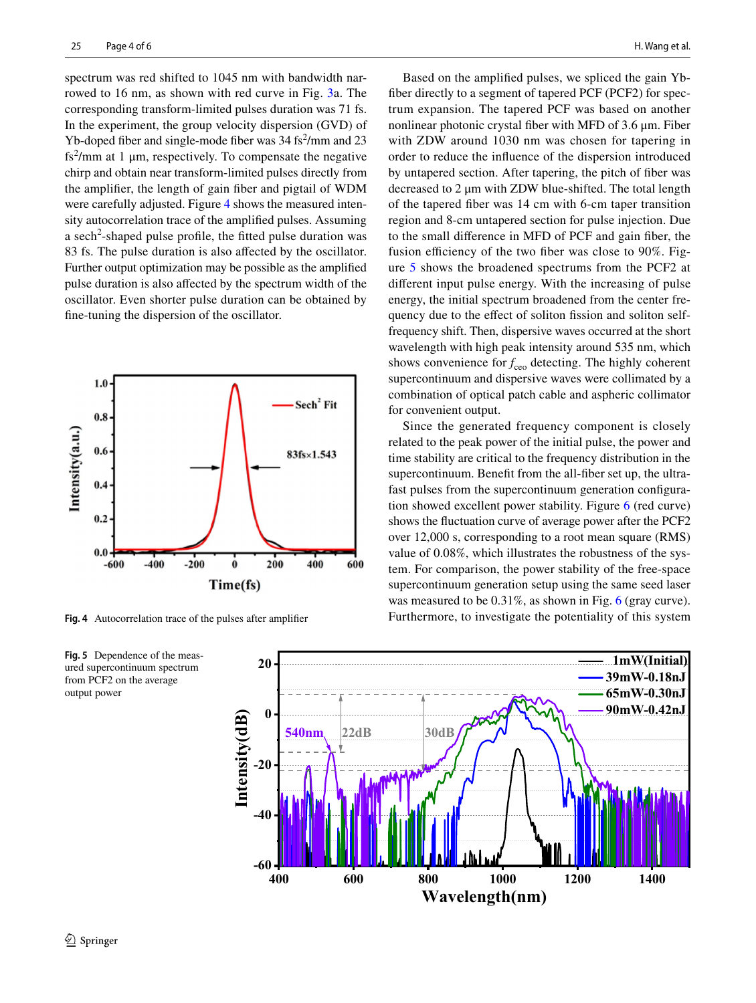spectrum was red shifted to 1045 nm with bandwidth narrowed to 16 nm, as shown with red curve in Fig. [3](#page-2-0)a. The corresponding transform-limited pulses duration was 71 fs. In the experiment, the group velocity dispersion (GVD) of Yb-doped fiber and single-mode fiber was  $34 \text{ fs}^2/\text{mm}$  and  $23$ fs<sup>2</sup>/mm at 1  $\mu$ m, respectively. To compensate the negative chirp and obtain near transform-limited pulses directly from the amplifer, the length of gain fber and pigtail of WDM were carefully adjusted. Figure [4](#page-3-0) shows the measured intensity autocorrelation trace of the amplifed pulses. Assuming a sech<sup>2</sup>-shaped pulse profile, the fitted pulse duration was 83 fs. The pulse duration is also afected by the oscillator. Further output optimization may be possible as the amplifed pulse duration is also afected by the spectrum width of the oscillator. Even shorter pulse duration can be obtained by fne-tuning the dispersion of the oscillator.



<span id="page-3-0"></span>

<span id="page-3-1"></span>

Based on the amplifed pulses, we spliced the gain Ybfber directly to a segment of tapered PCF (PCF2) for spectrum expansion. The tapered PCF was based on another nonlinear photonic crystal fber with MFD of 3.6 μm. Fiber with ZDW around 1030 nm was chosen for tapering in order to reduce the infuence of the dispersion introduced by untapered section. After tapering, the pitch of fber was decreased to 2 μm with ZDW blue-shifted. The total length of the tapered fber was 14 cm with 6-cm taper transition region and 8-cm untapered section for pulse injection. Due to the small diference in MFD of PCF and gain fber, the fusion efficiency of the two fiber was close to  $90\%$ . Figure [5](#page-3-1) shows the broadened spectrums from the PCF2 at diferent input pulse energy. With the increasing of pulse energy, the initial spectrum broadened from the center frequency due to the effect of soliton fission and soliton selffrequency shift. Then, dispersive waves occurred at the short wavelength with high peak intensity around 535 nm, which shows convenience for  $f_{ceo}$  detecting. The highly coherent supercontinuum and dispersive waves were collimated by a combination of optical patch cable and aspheric collimator for convenient output.

Since the generated frequency component is closely related to the peak power of the initial pulse, the power and time stability are critical to the frequency distribution in the supercontinuum. Beneft from the all-fber set up, the ultrafast pulses from the supercontinuum generation confguration showed excellent power stability. Figure [6](#page-4-8) (red curve) shows the fuctuation curve of average power after the PCF2 over 12,000 s, corresponding to a root mean square (RMS) value of 0.08%, which illustrates the robustness of the system. For comparison, the power stability of the free-space supercontinuum generation setup using the same seed laser was measured to be 0.31%, as shown in Fig. [6](#page-4-8) (gray curve). **Fig.** 4 Autocorrelation trace of the pulses after amplifier Furthermore, to investigate the potentiality of this system

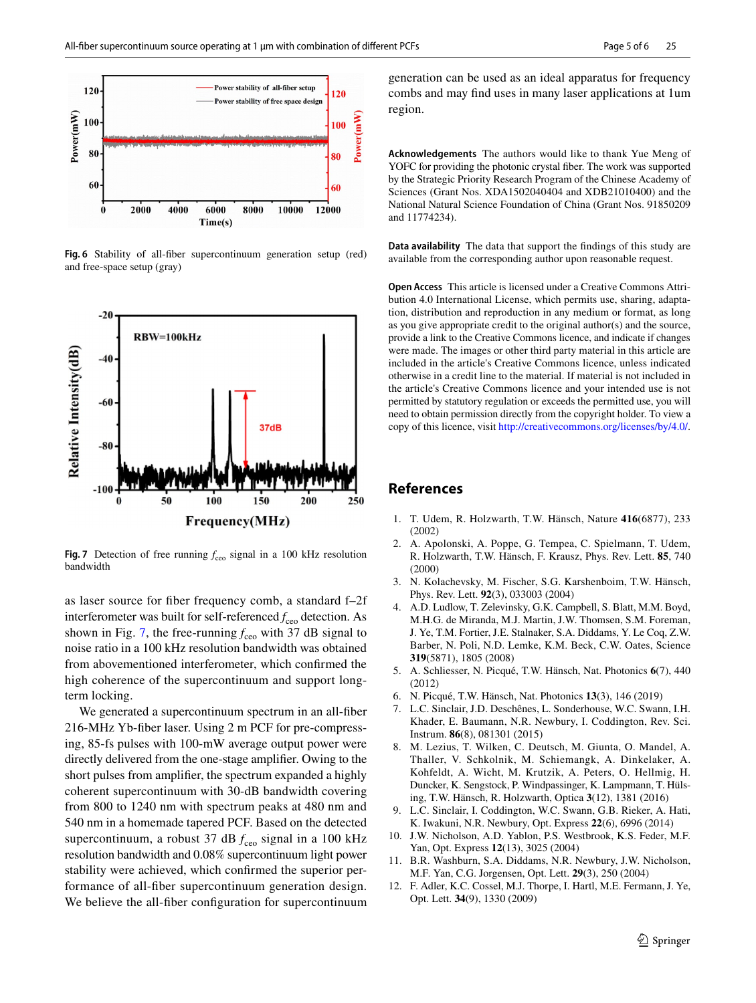

<span id="page-4-8"></span>**Fig. 6** Stability of all-fber supercontinuum generation setup (red) and free-space setup (gray)



<span id="page-4-9"></span>**Fig. 7** Detection of free running  $f_{ceo}$  signal in a 100 kHz resolution bandwidth

as laser source for fber frequency comb, a standard f–2f interferometer was built for self-referenced  $f_{ceo}$  detection. As shown in Fig. [7,](#page-4-9) the free-running  $f_{ceo}$  with 37 dB signal to noise ratio in a 100 kHz resolution bandwidth was obtained from abovementioned interferometer, which confrmed the high coherence of the supercontinuum and support longterm locking.

We generated a supercontinuum spectrum in an all-fber 216-MHz Yb-fber laser. Using 2 m PCF for pre-compressing, 85-fs pulses with 100-mW average output power were directly delivered from the one-stage amplifer. Owing to the short pulses from amplifer, the spectrum expanded a highly coherent supercontinuum with 30-dB bandwidth covering from 800 to 1240 nm with spectrum peaks at 480 nm and 540 nm in a homemade tapered PCF. Based on the detected supercontinuum, a robust 37 dB  $f_{ceo}$  signal in a 100 kHz resolution bandwidth and 0.08% supercontinuum light power stability were achieved, which confrmed the superior performance of all-fber supercontinuum generation design. We believe the all-fiber configuration for supercontinuum generation can be used as an ideal apparatus for frequency combs and may fnd uses in many laser applications at 1um region.

**Acknowledgements** The authors would like to thank Yue Meng of YOFC for providing the photonic crystal fber. The work was supported by the Strategic Priority Research Program of the Chinese Academy of Sciences (Grant Nos. XDA1502040404 and XDB21010400) and the National Natural Science Foundation of China (Grant Nos. 91850209 and 11774234).

**Data availability** The data that support the fndings of this study are available from the corresponding author upon reasonable request.

**Open Access** This article is licensed under a Creative Commons Attribution 4.0 International License, which permits use, sharing, adaptation, distribution and reproduction in any medium or format, as long as you give appropriate credit to the original author(s) and the source, provide a link to the Creative Commons licence, and indicate if changes were made. The images or other third party material in this article are included in the article's Creative Commons licence, unless indicated otherwise in a credit line to the material. If material is not included in the article's Creative Commons licence and your intended use is not permitted by statutory regulation or exceeds the permitted use, you will need to obtain permission directly from the copyright holder. To view a copy of this licence, visit<http://creativecommons.org/licenses/by/4.0/>.

## **References**

- <span id="page-4-0"></span>1. T. Udem, R. Holzwarth, T.W. Hänsch, Nature **416**(6877), 233 (2002)
- <span id="page-4-1"></span>2. A. Apolonski, A. Poppe, G. Tempea, C. Spielmann, T. Udem, R. Holzwarth, T.W. Hänsch, F. Krausz, Phys. Rev. Lett. **85**, 740 (2000)
- <span id="page-4-2"></span>3. N. Kolachevsky, M. Fischer, S.G. Karshenboim, T.W. Hänsch, Phys. Rev. Lett. **92**(3), 033003 (2004)
- 4. A.D. Ludlow, T. Zelevinsky, G.K. Campbell, S. Blatt, M.M. Boyd, M.H.G. de Miranda, M.J. Martin, J.W. Thomsen, S.M. Foreman, J. Ye, T.M. Fortier, J.E. Stalnaker, S.A. Diddams, Y. Le Coq, Z.W. Barber, N. Poli, N.D. Lemke, K.M. Beck, C.W. Oates, Science **319**(5871), 1805 (2008)
- 5. A. Schliesser, N. Picqué, T.W. Hänsch, Nat. Photonics **6**(7), 440 (2012)
- <span id="page-4-3"></span>6. N. Picqué, T.W. Hänsch, Nat. Photonics **13**(3), 146 (2019)
- <span id="page-4-4"></span>7. L.C. Sinclair, J.D. Deschênes, L. Sonderhouse, W.C. Swann, I.H. Khader, E. Baumann, N.R. Newbury, I. Coddington, Rev. Sci. Instrum. **86**(8), 081301 (2015)
- 8. M. Lezius, T. Wilken, C. Deutsch, M. Giunta, O. Mandel, A. Thaller, V. Schkolnik, M. Schiemangk, A. Dinkelaker, A. Kohfeldt, A. Wicht, M. Krutzik, A. Peters, O. Hellmig, H. Duncker, K. Sengstock, P. Windpassinger, K. Lampmann, T. Hülsing, T.W. Hänsch, R. Holzwarth, Optica **3**(12), 1381 (2016)
- <span id="page-4-5"></span>9. L.C. Sinclair, I. Coddington, W.C. Swann, G.B. Rieker, A. Hati, K. Iwakuni, N.R. Newbury, Opt. Express **22**(6), 6996 (2014)
- <span id="page-4-6"></span>10. J.W. Nicholson, A.D. Yablon, P.S. Westbrook, K.S. Feder, M.F. Yan, Opt. Express **12**(13), 3025 (2004)
- 11. B.R. Washburn, S.A. Diddams, N.R. Newbury, J.W. Nicholson, M.F. Yan, C.G. Jorgensen, Opt. Lett. **29**(3), 250 (2004)
- <span id="page-4-7"></span>12. F. Adler, K.C. Cossel, M.J. Thorpe, I. Hartl, M.E. Fermann, J. Ye, Opt. Lett. **34**(9), 1330 (2009)